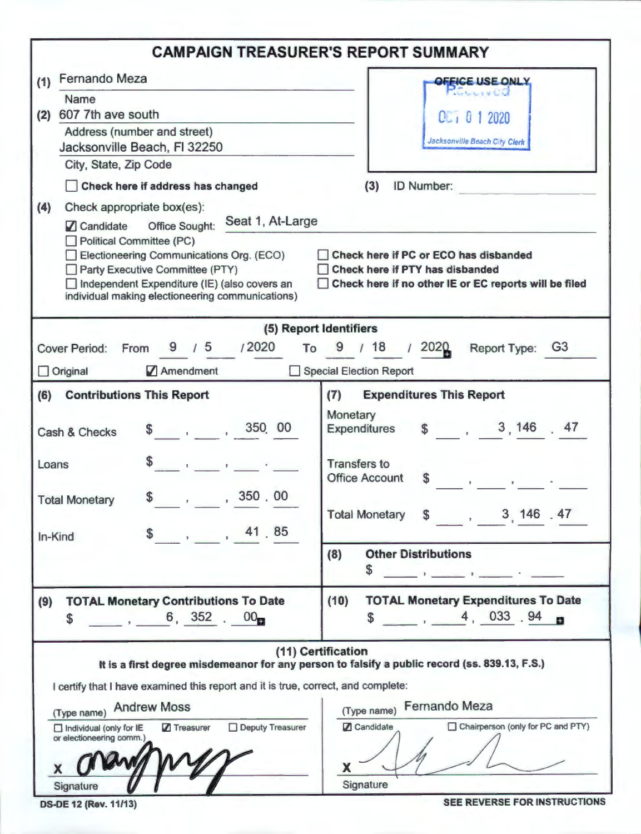|                                                                                                                                                                                                                                                                                                                                                                                                                                                                                                                           | <b>CAMPAIGN TREASURER'S REPORT SUMMARY</b>                                                                                                                                                                                              |  |  |  |  |  |  |  |  |
|---------------------------------------------------------------------------------------------------------------------------------------------------------------------------------------------------------------------------------------------------------------------------------------------------------------------------------------------------------------------------------------------------------------------------------------------------------------------------------------------------------------------------|-----------------------------------------------------------------------------------------------------------------------------------------------------------------------------------------------------------------------------------------|--|--|--|--|--|--|--|--|
| <b>Fernando Meza</b><br>(1)                                                                                                                                                                                                                                                                                                                                                                                                                                                                                               | OFFICE USE ONLY                                                                                                                                                                                                                         |  |  |  |  |  |  |  |  |
| <b>Name</b><br>607 7th ave south<br>(2)<br>Address (number and street)<br>Jacksonville Beach, FI 32250                                                                                                                                                                                                                                                                                                                                                                                                                    | <b>MOULLY LOO</b><br>$Q_{L1}$ $Q_1$ 2020<br>Jacksonville Beach City Clerk                                                                                                                                                               |  |  |  |  |  |  |  |  |
| City, State, Zip Code                                                                                                                                                                                                                                                                                                                                                                                                                                                                                                     |                                                                                                                                                                                                                                         |  |  |  |  |  |  |  |  |
| Check here if address has changed<br>(3)<br>ID Number:<br>Check appropriate box(es):<br>(4)<br>Seat 1, At-Large<br><b>Office Sought:</b><br><b>Z</b> Candidate<br>Political Committee (PC)<br>Electioneering Communications Org. (ECO)<br>Check here if PC or ECO has disbanded<br>Party Executive Committee (PTY)<br><b>Check here if PTY has disbanded</b><br>Independent Expenditure (IE) (also covers an<br>Check here if no other IE or EC reports will be filed<br>individual making electioneering communications) |                                                                                                                                                                                                                                         |  |  |  |  |  |  |  |  |
|                                                                                                                                                                                                                                                                                                                                                                                                                                                                                                                           | (5) Report Identifiers                                                                                                                                                                                                                  |  |  |  |  |  |  |  |  |
| 9/5 / 2020<br><b>Cover Period:</b><br>From<br>To<br>Original<br>Amendment                                                                                                                                                                                                                                                                                                                                                                                                                                                 | 18<br>12020<br>9<br><b>Report Type:</b><br><b>G3</b><br>Special Election Report                                                                                                                                                         |  |  |  |  |  |  |  |  |
|                                                                                                                                                                                                                                                                                                                                                                                                                                                                                                                           | (7)<br><b>Expenditures This Report</b>                                                                                                                                                                                                  |  |  |  |  |  |  |  |  |
| (6)<br><b>Contributions This Report</b><br>350 00<br>and the state of the state of<br>Cash & Checks                                                                                                                                                                                                                                                                                                                                                                                                                       | Monetary<br>\$3, 146, 47<br><b>Expenditures</b>                                                                                                                                                                                         |  |  |  |  |  |  |  |  |
| Loans<br>$\mathbf{1}$ and $\mathbf{1}$ and $\mathbf{1}$<br>, 350 . 00<br>\$<br><b>Total Monetary</b><br>, 41.85<br>In-Kind                                                                                                                                                                                                                                                                                                                                                                                                | <b>Transfers to</b><br>\$<br><b>Office Account</b><br>$\frac{1}{2}$ and $\frac{1}{2}$ and $\frac{1}{2}$<br>\$3, 146, 47<br><b>Total Monetary</b>                                                                                        |  |  |  |  |  |  |  |  |
|                                                                                                                                                                                                                                                                                                                                                                                                                                                                                                                           | (8)<br><b>Other Distributions</b><br>\$                                                                                                                                                                                                 |  |  |  |  |  |  |  |  |
| <b>TOTAL Monetary Contributions To Date</b><br>(9)<br>6, 352, 00<br><b>S</b>                                                                                                                                                                                                                                                                                                                                                                                                                                              | <b>TOTAL Monetary Expenditures To Date</b><br>(10)<br>4, 033.94<br>\$                                                                                                                                                                   |  |  |  |  |  |  |  |  |
| I certify that I have examined this report and it is true, correct, and complete:<br><b>Andrew Moss</b><br>(Type name)<br>Deputy Treasurer<br>7 Treasurer<br>Individual (only for IE<br>or electioneering comm.)<br>Signature                                                                                                                                                                                                                                                                                             | (11) Certification<br>It is a first degree misdemeanor for any person to falsify a public record (ss. 839.13, F.S.)<br><b>Fernando Meza</b><br>(Type name)<br><b>Z</b> Candidate<br>Chairperson (only for PC and PTY)<br>x<br>Signature |  |  |  |  |  |  |  |  |

DS-DE 12 (Rev. 11/13) SEE REVERSE FOR INSTRUCTIONS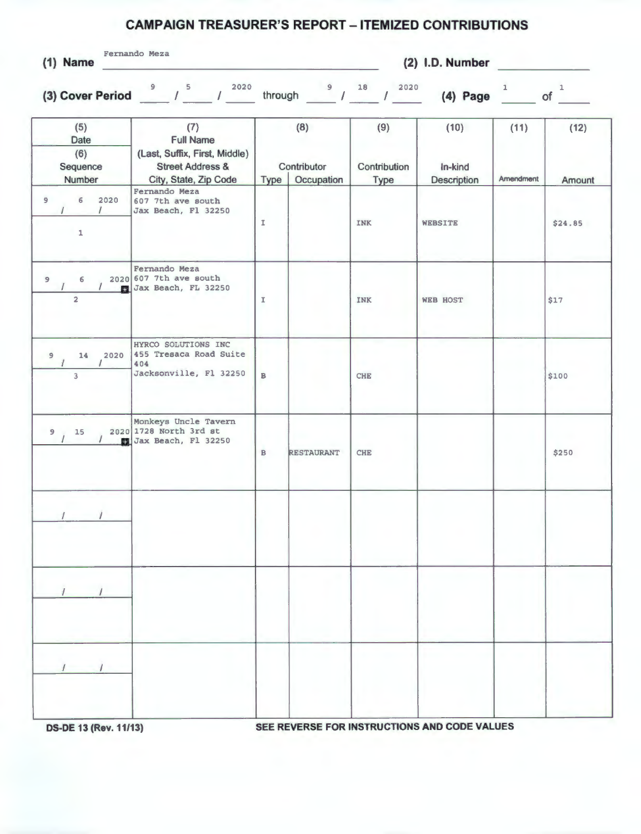## **CAMPAIGN TREASURER'S REPORT - ITEMIZED CONTRIBUTIONS**

Fernando Meza

**(1) Name (2) I.D. Number** 

(3) Cover Period <u>9 (5 (2020</u> through 18 (2020 (4) Page 1 of 1

|                | (5)<br>Date<br>(6)<br>Sequence<br>Number | (7)<br><b>Full Name</b><br>(Last, Suffix, First, Middle)<br><b>Street Address &amp;</b><br>City, State, Zip Code | Type          | (8)<br>Contributor<br>Occupation | (9)<br>Contribution<br>Type | (10)<br>In-kind<br><b>Description</b> | (11)<br>Amendment | (12)<br>Amount |
|----------------|------------------------------------------|------------------------------------------------------------------------------------------------------------------|---------------|----------------------------------|-----------------------------|---------------------------------------|-------------------|----------------|
| 9              | 6<br>2020<br>$\mathbf 1$                 | Fernando Meza<br>607 7th ave south<br>Jax Beach, Fl 32250                                                        | I             |                                  | INK                         | <b>WEBSITE</b>                        |                   | \$24.85        |
| $\overline{9}$ | 6<br>$\overline{2}$                      | Fernando Meza<br>2020 607 7th ave south<br>Jax Beach, FL 32250                                                   | $\mathbbm{I}$ |                                  | INK                         | <b>WEB HOST</b>                       |                   | \$17           |
| $\overline{9}$ | 2020<br>14<br>$\overline{3}$             | HYRCO SOLUTIONS INC<br>455 Tresaca Road Suite<br>404<br>Jacksonville, Fl 32250                                   | $\mathbf{B}$  |                                  | <b>CHE</b>                  |                                       |                   | \$100          |
| 9              | 15                                       | Monkeys Uncle Tavern<br>2020 1728 North 3rd st<br>Jax Beach, Fl 32250                                            | $\, {\bf B}$  | <b>RESTAURANT</b>                | <b>CHE</b>                  |                                       |                   | \$250          |
|                |                                          |                                                                                                                  |               |                                  |                             |                                       |                   |                |
|                | $\mathbf{r}$ $\mathbf{r}$                |                                                                                                                  |               |                                  |                             |                                       |                   |                |
|                |                                          |                                                                                                                  |               |                                  |                             | and the contract of the contract      |                   |                |

**OS-DE 13 (Rev. 11/13) SEE REVERSE FOR INSTRUCTIONS AND CODE VALUES**